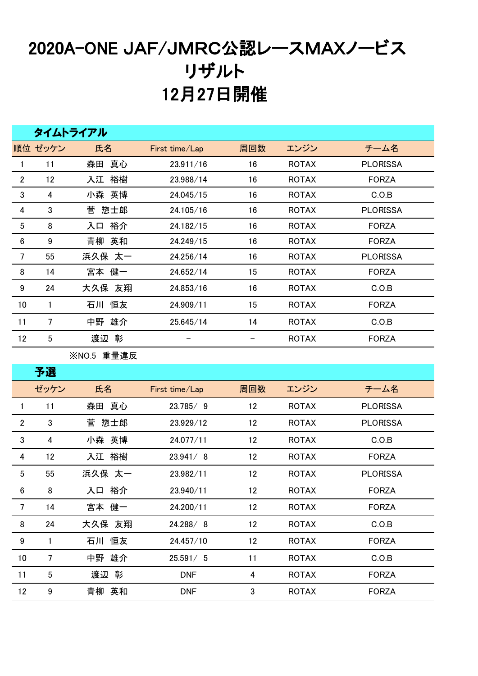## 2020A-ONE JAF/JMRC公認レースMAXノービス リザルト 月27日開催

|                  | タイムトライアル         |            |                   |                   |              |                 |  |  |  |  |  |
|------------------|------------------|------------|-------------------|-------------------|--------------|-----------------|--|--|--|--|--|
|                  | 順位 ゼッケン          | 氏名         | First time/Lap    | 周回数               | エンジン         | チーム名            |  |  |  |  |  |
| $\mathbf{1}$     | 11               | 森田 真心      | 23.911/16         | 16                | <b>ROTAX</b> | <b>PLORISSA</b> |  |  |  |  |  |
| $\overline{2}$   | 12               | 入江 裕樹      | 23.988/14         | 16                | <b>ROTAX</b> | <b>FORZA</b>    |  |  |  |  |  |
| 3                | 4                | 小森 英博      | 24.045/15         | 16                | <b>ROTAX</b> | C.O.B           |  |  |  |  |  |
| 4                | 3                | 惣士郎<br>菅   | 24.105/16         | 16                | <b>ROTAX</b> | <b>PLORISSA</b> |  |  |  |  |  |
| $\overline{5}$   | 8                | 裕介<br>入口   | 24.182/15         | 16                | <b>ROTAX</b> | <b>FORZA</b>    |  |  |  |  |  |
| $\bf 6$          | 9                | 青柳 英和      | 24.249/15         | 16                | <b>ROTAX</b> | <b>FORZA</b>    |  |  |  |  |  |
| $\overline{7}$   | 55               | 浜久保 太一     | 24.256/14         | 16                | <b>ROTAX</b> | <b>PLORISSA</b> |  |  |  |  |  |
| 8                | 14               | 宮本 健一      | 24.652/14         | 15                | <b>ROTAX</b> | <b>FORZA</b>    |  |  |  |  |  |
| $\boldsymbol{9}$ | 24               | 大久保 友翔     | 24.853/16         | 16                | <b>ROTAX</b> | C.O.B           |  |  |  |  |  |
| 10               | 1                | 石川 恒友      | 24.909/11         | 15                | <b>ROTAX</b> | <b>FORZA</b>    |  |  |  |  |  |
| 11               | $\overline{7}$   | 中野 雄介      | 25.645/14         | 14                | <b>ROTAX</b> | C.O.B           |  |  |  |  |  |
| 12               | 5                | 渡辺 彰       | $\qquad \qquad -$ | $\qquad \qquad -$ | <b>ROTAX</b> | <b>FORZA</b>    |  |  |  |  |  |
|                  |                  | ※NO.5 重量違反 |                   |                   |              |                 |  |  |  |  |  |
|                  | 予選               |            |                   |                   |              |                 |  |  |  |  |  |
|                  | ゼッケン             | 氏名         | First time/Lap    | 周回数               | エンジン         | チーム名            |  |  |  |  |  |
| 1                | 11               | 森田 真心      | 23.785/9          | 12                | <b>ROTAX</b> | <b>PLORISSA</b> |  |  |  |  |  |
| $\overline{2}$   | 3                | 菅 惣士郎      | 23.929/12         | 12                | <b>ROTAX</b> | <b>PLORISSA</b> |  |  |  |  |  |
| 3                | 4                | 小森 英博      | 24.077/11         | 12                | <b>ROTAX</b> | C.O.B           |  |  |  |  |  |
| 4                | 12               | 入江 裕樹      | 23.941/8          | 12                | <b>ROTAX</b> | <b>FORZA</b>    |  |  |  |  |  |
| 5                | 55               | 浜久保 太一     | 23.982/11         | 12                | <b>ROTAX</b> | <b>PLORISSA</b> |  |  |  |  |  |
| 6                | 8                | 入口 裕介      | 23.940/11         | 12                | <b>ROTAX</b> | <b>FORZA</b>    |  |  |  |  |  |
| $\overline{7}$   | 14               | 宮本 健一      | 24.200/11         | 12                | <b>ROTAX</b> | <b>FORZA</b>    |  |  |  |  |  |
| 8                | 24               | 大久保 友翔     | 24.288/8          | 12                | <b>ROTAX</b> | C.O.B           |  |  |  |  |  |
| 9                | 1                | 石川 恒友      | 24.457/10         | 12                | <b>ROTAX</b> | <b>FORZA</b>    |  |  |  |  |  |
| 10               | $\overline{7}$   | 中野 雄介      | 25.591/5          | 11                | <b>ROTAX</b> | C.O.B           |  |  |  |  |  |
| 11               | $5\phantom{.0}$  | 渡辺 彰       | <b>DNF</b>        | 4                 | <b>ROTAX</b> | <b>FORZA</b>    |  |  |  |  |  |
| $12 \,$          | $\boldsymbol{9}$ | 青柳 英和      | <b>DNF</b>        | 3                 | <b>ROTAX</b> | <b>FORZA</b>    |  |  |  |  |  |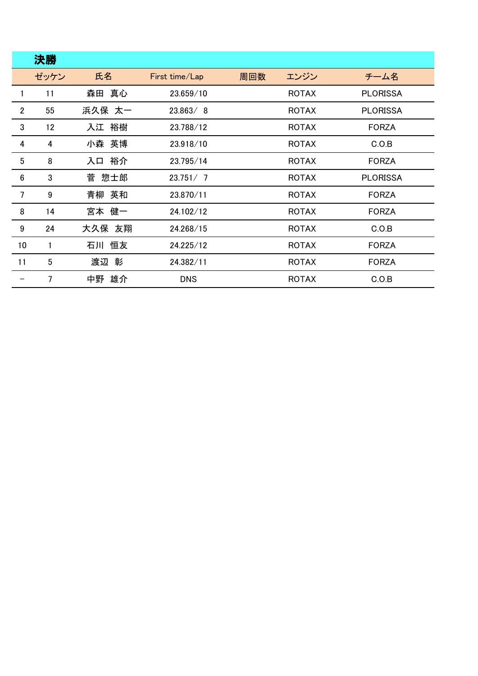|                  | 決勝   |          |                |     |              |                 |
|------------------|------|----------|----------------|-----|--------------|-----------------|
|                  | ゼッケン | 氏名       | First time/Lap | 周回数 | エンジン         | チーム名            |
| 1                | 11   | 森田 真心    | 23.659/10      |     | <b>ROTAX</b> | <b>PLORISSA</b> |
| $\overline{2}$   | 55   | 浜久保 太一   | 23.863/8       |     | <b>ROTAX</b> | <b>PLORISSA</b> |
| 3                | 12   | 入江 裕樹    | 23.788/12      |     | <b>ROTAX</b> | <b>FORZA</b>    |
| 4                | 4    | 小森 英博    | 23.918/10      |     | <b>ROTAX</b> | C.O.B           |
| 5                | 8    | 裕介<br>入口 | 23.795/14      |     | <b>ROTAX</b> | <b>FORZA</b>    |
| $\boldsymbol{6}$ | 3    | 惣士郎<br>菅 | 23.751/7       |     | <b>ROTAX</b> | <b>PLORISSA</b> |
| 7                | 9    | 青柳 英和    | 23.870/11      |     | <b>ROTAX</b> | <b>FORZA</b>    |
| 8                | 14   | 宮本 健一    | 24.102/12      |     | <b>ROTAX</b> | <b>FORZA</b>    |
| 9                | 24   | 大久保 友翔   | 24.268/15      |     | <b>ROTAX</b> | C.O.B           |
| 10               | 1    | 石川 恒友    | 24.225/12      |     | <b>ROTAX</b> | <b>FORZA</b>    |
| 11               | 5    | 渡辺 彰     | 24.382/11      |     | <b>ROTAX</b> | <b>FORZA</b>    |
|                  | 7    | 中野 雄介    | <b>DNS</b>     |     | <b>ROTAX</b> | C.O.B           |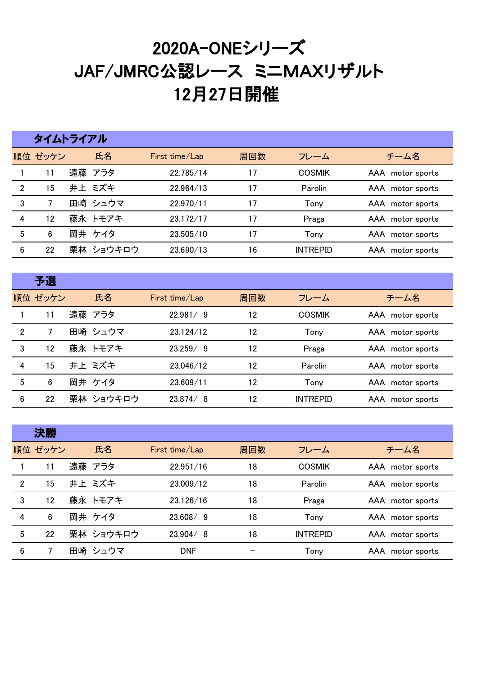## 2020A-ONEシリーズ JAF/JMRC公認レース ミニMAXリザルト 月27日開催

|                | タイムトライアル |  |           |                |     |                 |                  |  |  |
|----------------|----------|--|-----------|----------------|-----|-----------------|------------------|--|--|
|                | 順位 ゼッケン  |  | 氏名        | First time/Lap | 周回数 | フレーム            | チーム名             |  |  |
|                | 11       |  | 遠藤 アラタ    | 22.785/14      | 17  | <b>COSMIK</b>   | AAA motor sports |  |  |
| $\mathfrak{p}$ | 15       |  | 井上 ミズキ    | 22.964/13      | 17  | Parolin         | AAA motor sports |  |  |
| 3              | 7        |  | 田崎 シュウマ   | 22.970/11      | 17  | Tony            | AAA motor sports |  |  |
| 4              | 12       |  | 藤永 トモアキ   | 23.172/17      | 17  | Praga           | AAA motor sports |  |  |
| 5              | 6        |  | 岡井 ケイタ    | 23.505/10      | 17  | Tony            | AAA motor sports |  |  |
| 6              | 22       |  | 栗林 ショウキロウ | 23.690/13      | 16  | <b>INTREPID</b> | AAA motor sports |  |  |

|                | 予選      |           |                |     |                 |                  |
|----------------|---------|-----------|----------------|-----|-----------------|------------------|
|                | 順位 ゼッケン | 氏名        | First time/Lap | 周回数 | フレーム            | チーム名             |
|                | 11      | 遠藤 アラタ    | 22.981/9       | 12  | <b>COSMIK</b>   | AAA motor sports |
| $\overline{2}$ | 7       | 田崎 シュウマ   | 23.124/12      | 12  | Tony            | AAA motor sports |
| 3              | 12      | 藤永 トモアキ   | 23.259/9       | 12  | Praga           | AAA motor sports |
| 4              | 15      | 井上 ミズキ    | 23.046/12      | 12  | Parolin         | AAA motor sports |
| 5              | 6       | 岡井 ケイタ    | 23.609/11      | 12  | Tony            | AAA motor sports |
| 6              | 22      | 栗林 ショウキロウ | 23.874/8       | 12  | <b>INTREPID</b> | AAA motor sports |

|                | 決勝      |           |                |     |                 |                  |
|----------------|---------|-----------|----------------|-----|-----------------|------------------|
|                | 順位 ゼッケン | 氏名        | First time/Lap | 周回数 | フレーム            | チーム名             |
|                | 11      | 遠藤 アラタ    | 22.951/16      | 18  | <b>COSMIK</b>   | AAA motor sports |
| $\overline{2}$ | 15      | 井上 ミズキ    | 23,009/12      | 18  | Parolin         | AAA motor sports |
| 3              | 12      | 藤永 トモアキ   | 23.126/16      | 18  | Praga           | AAA motor sports |
| 4              | 6       | 岡井 ケイタ    | 23.608/9       | 18  | Tony            | AAA motor sports |
| 5              | 22      | 栗林 ショウキロウ | 23.904/8       | 18  | <b>INTREPID</b> | AAA motor sports |
| 6              |         | 田崎 シュウマ   | <b>DNF</b>     |     | Tony            | AAA motor sports |